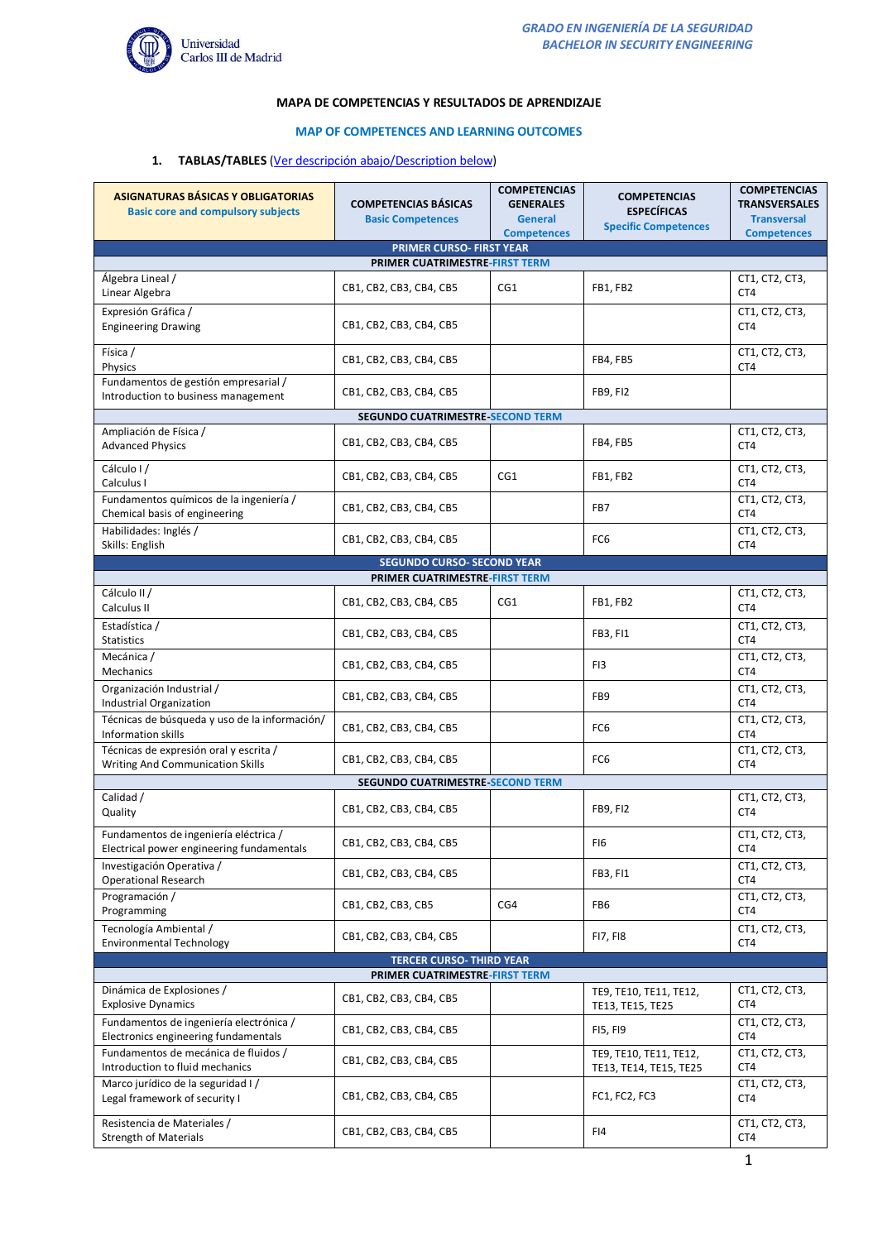

## **MAPA DE COMPETENCIAS Y RESULTADOS DE APRENDIZAJE**

### **MAP OF COMPETENCES AND LEARNING OUTCOMES**

### **1. TABLAS/TABLES** (Ver descripción abajo/Description below)

| <b>ASIGNATURAS BÁSICAS Y OBLIGATORIAS</b><br><b>Basic core and compulsory subjects</b> | <b>COMPETENCIAS BÁSICAS</b><br><b>Basic Competences</b>          | <b>COMPETENCIAS</b><br><b>GENERALES</b><br>General | <b>COMPETENCIAS</b><br><b>ESPECÍFICAS</b><br><b>Specific Competences</b> | <b>COMPETENCIAS</b><br><b>TRANSVERSALES</b><br><b>Transversal</b> |  |  |  |
|----------------------------------------------------------------------------------------|------------------------------------------------------------------|----------------------------------------------------|--------------------------------------------------------------------------|-------------------------------------------------------------------|--|--|--|
|                                                                                        | <b>PRIMER CURSO- FIRST YEAR</b>                                  | <b>Competences</b>                                 |                                                                          | <b>Competences</b>                                                |  |  |  |
| PRIMER CUATRIMESTRE-FIRST TERM                                                         |                                                                  |                                                    |                                                                          |                                                                   |  |  |  |
| Álgebra Lineal /<br>Linear Algebra                                                     | CB1, CB2, CB3, CB4, CB5                                          | CG1                                                | FB1, FB2                                                                 | CT1, CT2, CT3,<br>CT4                                             |  |  |  |
| Expresión Gráfica /<br><b>Engineering Drawing</b>                                      | CB1, CB2, CB3, CB4, CB5                                          |                                                    |                                                                          | CT1, CT2, CT3,<br>CT4                                             |  |  |  |
| Física /<br>Physics                                                                    | CB1, CB2, CB3, CB4, CB5                                          |                                                    | FB4, FB5                                                                 | CT1, CT2, CT3,<br>CT4                                             |  |  |  |
| Fundamentos de gestión empresarial /<br>Introduction to business management            | CB1, CB2, CB3, CB4, CB5                                          |                                                    | <b>FB9, FI2</b>                                                          |                                                                   |  |  |  |
|                                                                                        | SEGUNDO CUATRIMESTRE SECOND TERM                                 |                                                    |                                                                          |                                                                   |  |  |  |
| Ampliación de Física /<br><b>Advanced Physics</b>                                      | CB1, CB2, CB3, CB4, CB5                                          |                                                    | FB4, FB5                                                                 | CT1, CT2, CT3,<br>CT4                                             |  |  |  |
| Cálculo I/<br>Calculus I                                                               | CB1, CB2, CB3, CB4, CB5                                          | CG1                                                | FB1, FB2                                                                 | CT1, CT2, CT3,<br>CT4                                             |  |  |  |
| Fundamentos químicos de la ingeniería /<br>Chemical basis of engineering               | CB1, CB2, CB3, CB4, CB5                                          |                                                    | FB7                                                                      | CT1, CT2, CT3,<br>CT4                                             |  |  |  |
| Habilidades: Inglés /<br>Skills: English                                               | CB1, CB2, CB3, CB4, CB5                                          |                                                    | FC <sub>6</sub>                                                          | CT1, CT2, CT3,<br>CT4                                             |  |  |  |
| <b>SEGUNDO CURSO- SECOND YEAR</b><br>PRIMER CUATRIMESTRE-FIRST TERM                    |                                                                  |                                                    |                                                                          |                                                                   |  |  |  |
| Cálculo II/<br>Calculus II                                                             | CB1, CB2, CB3, CB4, CB5                                          | CG1                                                | FB1, FB2                                                                 | CT1, CT2, CT3,<br>CT4                                             |  |  |  |
| Estadística /<br><b>Statistics</b>                                                     | CB1, CB2, CB3, CB4, CB5                                          |                                                    | FB3, FI1                                                                 | CT1, CT2, CT3,<br>CT4                                             |  |  |  |
| Mecánica /<br><b>Mechanics</b>                                                         | CB1, CB2, CB3, CB4, CB5                                          |                                                    | FI3                                                                      | CT1, CT2, CT3,<br>CT4                                             |  |  |  |
| Organización Industrial /<br>Industrial Organization                                   | CB1, CB2, CB3, CB4, CB5                                          |                                                    | FB9                                                                      | CT1, CT2, CT3,<br>CT4                                             |  |  |  |
| Técnicas de búsqueda y uso de la información/<br>Information skills                    | CB1, CB2, CB3, CB4, CB5                                          |                                                    | FC <sub>6</sub>                                                          | CT1, CT2, CT3,<br>CT4                                             |  |  |  |
| Técnicas de expresión oral y escrita /<br><b>Writing And Communication Skills</b>      | CB1, CB2, CB3, CB4, CB5                                          |                                                    | FC <sub>6</sub>                                                          | CT1, CT2, CT3,<br>CT4                                             |  |  |  |
| Calidad /                                                                              | <b>SEGUNDO CUATRIMESTRE SECOND TERM</b>                          |                                                    |                                                                          |                                                                   |  |  |  |
| Quality                                                                                | CB1, CB2, CB3, CB4, CB5                                          |                                                    | <b>FB9, FI2</b>                                                          | CT1, CT2, CT3,<br>CT4                                             |  |  |  |
| Fundamentos de ingeniería eléctrica /<br>Electrical power engineering fundamentals     | CB1, CB2, CB3, CB4, CB5                                          |                                                    | FI6                                                                      | CT1, CT2, CT3,<br>CT4                                             |  |  |  |
| Investigación Operativa /<br><b>Operational Research</b>                               | CB1, CB2, CB3, CB4, CB5                                          |                                                    | FB3, FI1                                                                 | CT1, CT2, CT3,<br>CT4                                             |  |  |  |
| Programación /<br>Programming                                                          | CB1, CB2, CB3, CB5                                               | CG4                                                | FB6                                                                      | CT1, CT2, CT3,<br>CT4                                             |  |  |  |
| Tecnología Ambiental /<br><b>Environmental Technology</b>                              | CB1, CB2, CB3, CB4, CB5                                          |                                                    | <b>FI7, FI8</b>                                                          | CT1, CT2, CT3,<br>CT4                                             |  |  |  |
|                                                                                        | <b>TERCER CURSO-THIRD YEAR</b><br>PRIMER CUATRIMESTRE-FIRST TERM |                                                    |                                                                          |                                                                   |  |  |  |
| Dinámica de Explosiones /<br><b>Explosive Dynamics</b>                                 | CB1, CB2, CB3, CB4, CB5                                          |                                                    | TE9, TE10, TE11, TE12,<br>TE13, TE15, TE25                               | CT1, CT2, CT3,<br>CT4                                             |  |  |  |
| Fundamentos de ingeniería electrónica /<br>Electronics engineering fundamentals        | CB1, CB2, CB3, CB4, CB5                                          |                                                    | FI5, FI9                                                                 | CT1, CT2, CT3,<br>CT4                                             |  |  |  |
| Fundamentos de mecánica de fluidos /<br>Introduction to fluid mechanics                | CB1, CB2, CB3, CB4, CB5                                          |                                                    | TE9, TE10, TE11, TE12,<br>TE13, TE14, TE15, TE25                         | CT1, CT2, CT3,<br>CT4                                             |  |  |  |
| Marco jurídico de la seguridad I/<br>Legal framework of security I                     | CB1, CB2, CB3, CB4, CB5                                          |                                                    | FC1, FC2, FC3                                                            | CT1, CT2, CT3,<br>CT4                                             |  |  |  |
| Resistencia de Materiales /<br><b>Strength of Materials</b>                            | CB1, CB2, CB3, CB4, CB5                                          |                                                    | FI4                                                                      | CT1, CT2, CT3,<br>CT4                                             |  |  |  |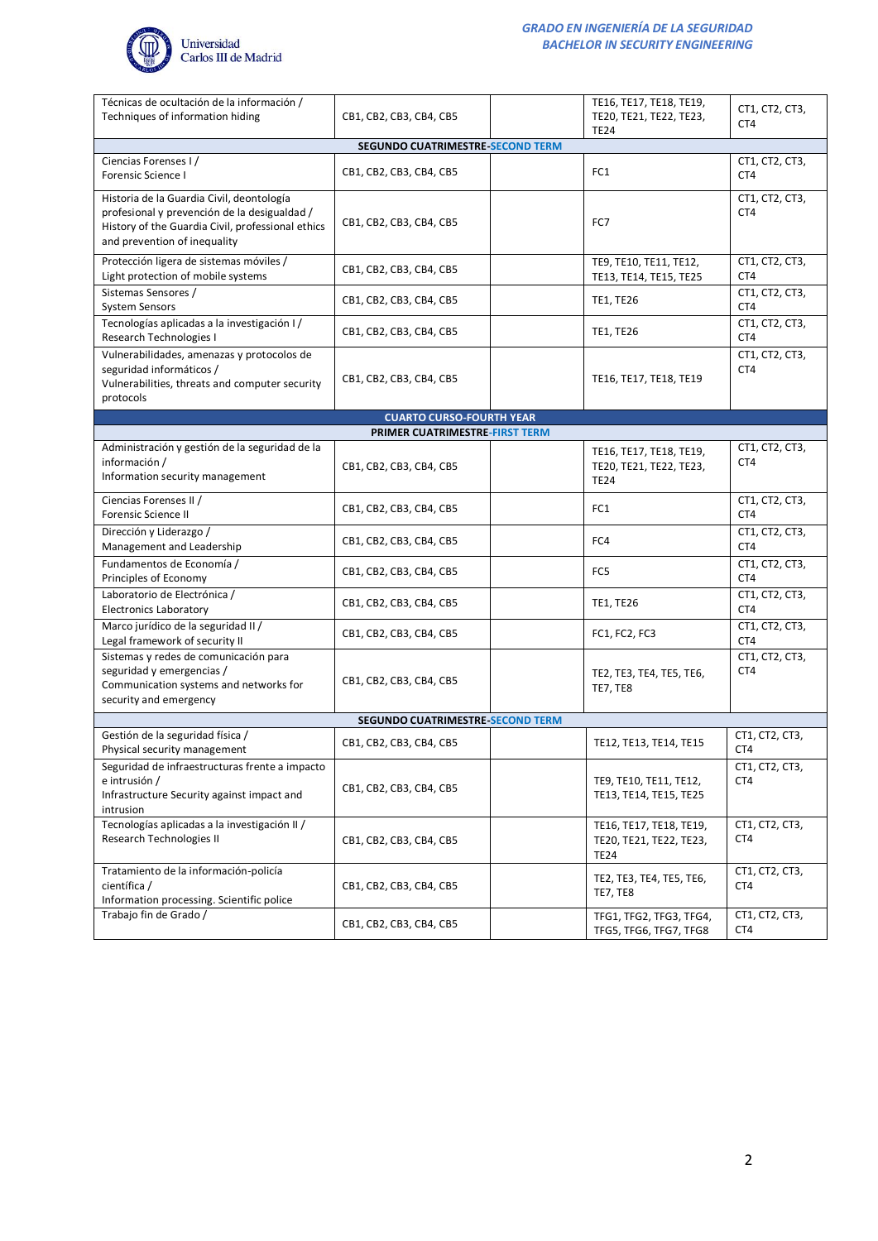

| Técnicas de ocultación de la información /<br>Techniques of information hiding                                                                                                 | CB1, CB2, CB3, CB4, CB5                 | TE16, TE17, TE18, TE19,<br>TE20, TE21, TE22, TE23,                | CT1, CT2, CT3,<br>CT4 |  |  |  |  |  |
|--------------------------------------------------------------------------------------------------------------------------------------------------------------------------------|-----------------------------------------|-------------------------------------------------------------------|-----------------------|--|--|--|--|--|
| <b>TE24</b><br>SEGUNDO CUATRIMESTRE SECOND TERM                                                                                                                                |                                         |                                                                   |                       |  |  |  |  |  |
| Ciencias Forenses I/<br><b>Forensic Science I</b>                                                                                                                              | CB1, CB2, CB3, CB4, CB5                 | FC1                                                               | CT1, CT2, CT3,<br>CT4 |  |  |  |  |  |
| Historia de la Guardia Civil, deontología<br>profesional y prevención de la desigualdad /<br>History of the Guardia Civil, professional ethics<br>and prevention of inequality | CB1, CB2, CB3, CB4, CB5                 | FC7                                                               | CT1, CT2, CT3,<br>CT4 |  |  |  |  |  |
| Protección ligera de sistemas móviles /<br>Light protection of mobile systems                                                                                                  | CB1, CB2, CB3, CB4, CB5                 | TE9, TE10, TE11, TE12,<br>TE13, TE14, TE15, TE25                  | CT1, CT2, CT3,<br>CT4 |  |  |  |  |  |
| Sistemas Sensores /<br><b>System Sensors</b>                                                                                                                                   | CB1, CB2, CB3, CB4, CB5                 | <b>TE1, TE26</b>                                                  | CT1, CT2, CT3,<br>CT4 |  |  |  |  |  |
| Tecnologías aplicadas a la investigación I/<br>Research Technologies I                                                                                                         | CB1, CB2, CB3, CB4, CB5                 | <b>TE1, TE26</b>                                                  | CT1, CT2, CT3,<br>CT4 |  |  |  |  |  |
| Vulnerabilidades, amenazas y protocolos de<br>seguridad informáticos /<br>Vulnerabilities, threats and computer security<br>protocols                                          | CB1, CB2, CB3, CB4, CB5                 | TE16, TE17, TE18, TE19                                            | CT1, CT2, CT3,<br>CT4 |  |  |  |  |  |
|                                                                                                                                                                                | <b>CUARTO CURSO-FOURTH YEAR</b>         |                                                                   |                       |  |  |  |  |  |
|                                                                                                                                                                                | PRIMER CUATRIMESTRE-FIRST TERM          |                                                                   |                       |  |  |  |  |  |
| Administración y gestión de la seguridad de la<br>información /<br>Information security management                                                                             | CB1, CB2, CB3, CB4, CB5                 | TE16, TE17, TE18, TE19,<br>TE20, TE21, TE22, TE23,<br><b>TE24</b> | CT1, CT2, CT3,<br>CT4 |  |  |  |  |  |
| Ciencias Forenses II /<br><b>Forensic Science II</b>                                                                                                                           | CB1, CB2, CB3, CB4, CB5                 | FC1                                                               | CT1, CT2, CT3,<br>CT4 |  |  |  |  |  |
| Dirección y Liderazgo /<br>Management and Leadership                                                                                                                           | CB1, CB2, CB3, CB4, CB5                 | FC4                                                               | CT1, CT2, CT3,<br>CT4 |  |  |  |  |  |
| Fundamentos de Economía /<br>Principles of Economy                                                                                                                             | CB1, CB2, CB3, CB4, CB5                 | FC5                                                               | CT1, CT2, CT3,<br>CT4 |  |  |  |  |  |
| Laboratorio de Electrónica /<br><b>Electronics Laboratory</b>                                                                                                                  | CB1, CB2, CB3, CB4, CB5                 | <b>TE1, TE26</b>                                                  | CT1, CT2, CT3,<br>CT4 |  |  |  |  |  |
| Marco jurídico de la seguridad II /<br>Legal framework of security II                                                                                                          | CB1, CB2, CB3, CB4, CB5                 | FC1, FC2, FC3                                                     | CT1, CT2, CT3,<br>CT4 |  |  |  |  |  |
| Sistemas y redes de comunicación para<br>seguridad y emergencias /<br>Communication systems and networks for<br>security and emergency                                         | CB1, CB2, CB3, CB4, CB5                 | TE2, TE3, TE4, TE5, TE6,<br><b>TE7, TE8</b>                       | CT1, CT2, CT3,<br>CT4 |  |  |  |  |  |
|                                                                                                                                                                                | <b>SEGUNDO CUATRIMESTRE-SECOND TERM</b> |                                                                   |                       |  |  |  |  |  |
| Gestión de la seguridad física /<br>Physical security management                                                                                                               | CB1, CB2, CB3, CB4, CB5                 | TE12, TE13, TE14, TE15                                            | CT1, CT2, CT3,<br>CT4 |  |  |  |  |  |
| Seguridad de infraestructuras frente a impacto<br>e intrusión /<br>Infrastructure Security against impact and<br>intrusion                                                     | CB1, CB2, CB3, CB4, CB5                 | TE9, TE10, TE11, TE12,<br>TE13, TE14, TE15, TE25                  | CT1, CT2, CT3,<br>CT4 |  |  |  |  |  |
| Tecnologías aplicadas a la investigación II /<br>Research Technologies II                                                                                                      | CB1, CB2, CB3, CB4, CB5                 | TE16, TE17, TE18, TE19,<br>TE20, TE21, TE22, TE23,<br><b>TE24</b> | CT1, CT2, CT3,<br>CT4 |  |  |  |  |  |
| Tratamiento de la información-policía<br>científica /<br>Information processing. Scientific police                                                                             | CB1, CB2, CB3, CB4, CB5                 | TE2, TE3, TE4, TE5, TE6,<br><b>TE7, TE8</b>                       | CT1, CT2, CT3,<br>CT4 |  |  |  |  |  |
| Trabajo fin de Grado /                                                                                                                                                         | CB1, CB2, CB3, CB4, CB5                 | TFG1, TFG2, TFG3, TFG4,<br>TFG5, TFG6, TFG7, TFG8                 | CT1, CT2, CT3,<br>CT4 |  |  |  |  |  |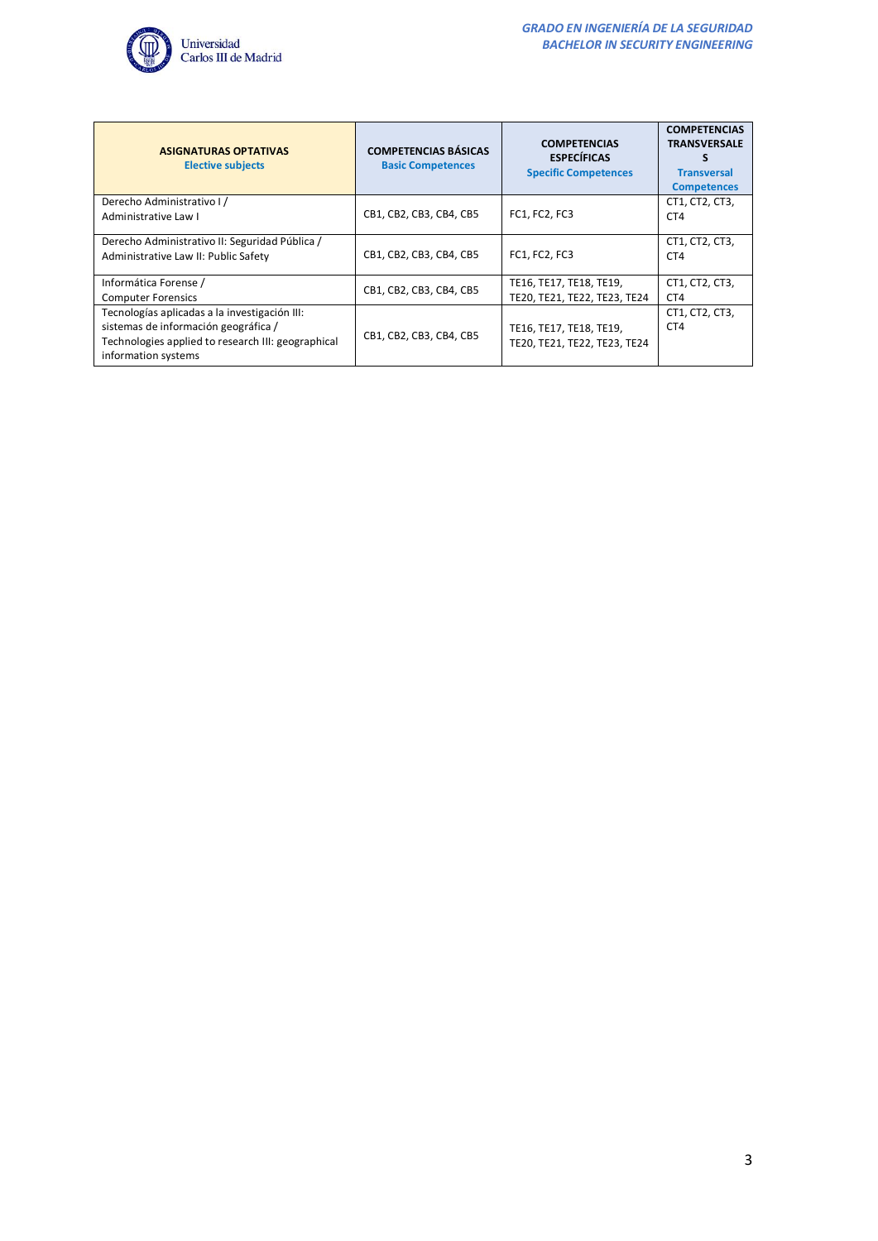

| <b>ASIGNATURAS OPTATIVAS</b><br><b>Elective subjects</b>                                                                                                           | <b>COMPETENCIAS BÁSICAS</b><br><b>Basic Competences</b> | <b>COMPETENCIAS</b><br><b>ESPECÍFICAS</b><br><b>Specific Competences</b> | <b>COMPETENCIAS</b><br><b>TRANSVERSALE</b><br><b>Transversal</b><br><b>Competences</b> |
|--------------------------------------------------------------------------------------------------------------------------------------------------------------------|---------------------------------------------------------|--------------------------------------------------------------------------|----------------------------------------------------------------------------------------|
| Derecho Administrativo I/<br>Administrative Law I                                                                                                                  | CB1, CB2, CB3, CB4, CB5                                 | <b>FC1, FC2, FC3</b>                                                     | CT1, CT2, CT3,<br>CT4                                                                  |
| Derecho Administrativo II: Seguridad Pública /<br>Administrative Law II: Public Safety                                                                             | CB1, CB2, CB3, CB4, CB5                                 | <b>FC1, FC2, FC3</b>                                                     | CT1, CT2, CT3,<br>CT4                                                                  |
| Informática Forense /<br><b>Computer Forensics</b>                                                                                                                 | CB1, CB2, CB3, CB4, CB5                                 | TE16, TE17, TE18, TE19,<br>TE20, TE21, TE22, TE23, TE24                  | CT1, CT2, CT3,<br>CT4                                                                  |
| Tecnologías aplicadas a la investigación III:<br>sistemas de información geográfica /<br>Technologies applied to research III: geographical<br>information systems | CB1, CB2, CB3, CB4, CB5                                 | TE16, TE17, TE18, TE19,<br>TE20, TE21, TE22, TE23, TE24                  | CT1, CT2, CT3,<br>CT <sub>4</sub>                                                      |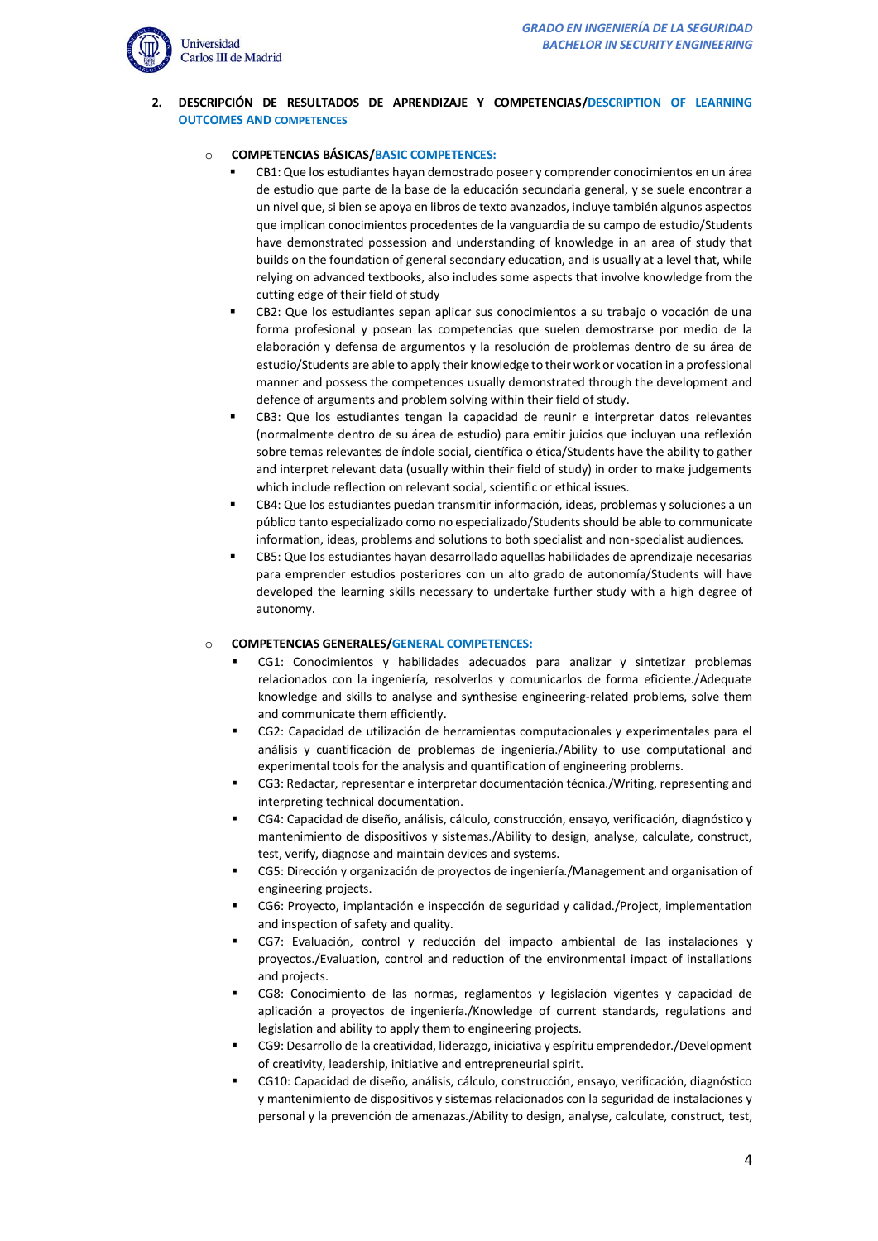

### **2. DESCRIPCIÓN DE RESULTADOS DE APRENDIZAJE Y COMPETENCIAS/DESCRIPTION OF LEARNING OUTCOMES AND COMPETENCES**

# o **COMPETENCIAS BÁSICAS/BASIC COMPETENCES:**

- CB1: Que los estudiantes hayan demostrado poseer y comprender conocimientos en un área de estudio que parte de la base de la educación secundaria general, y se suele encontrar a un nivel que, si bien se apoya en libros de texto avanzados, incluye también algunos aspectos que implican conocimientos procedentes de la vanguardia de su campo de estudio/Students have demonstrated possession and understanding of knowledge in an area of study that builds on the foundation of general secondary education, and is usually at a level that, while relying on advanced textbooks, also includes some aspects that involve knowledge from the cutting edge of their field of study
- CB2: Que los estudiantes sepan aplicar sus conocimientos a su trabajo o vocación de una forma profesional y posean las competencias que suelen demostrarse por medio de la elaboración y defensa de argumentos y la resolución de problemas dentro de su área de estudio/Students are able to apply their knowledge to their work or vocation in a professional manner and possess the competences usually demonstrated through the development and defence of arguments and problem solving within their field of study.
- CB3: Que los estudiantes tengan la capacidad de reunir e interpretar datos relevantes (normalmente dentro de su área de estudio) para emitir juicios que incluyan una reflexión sobre temas relevantes de índole social, científica o ética/Students have the ability to gather and interpret relevant data (usually within their field of study) in order to make judgements which include reflection on relevant social, scientific or ethical issues.
- CB4: Que los estudiantes puedan transmitir información, ideas, problemas y soluciones a un público tanto especializado como no especializado/Students should be able to communicate information, ideas, problems and solutions to both specialist and non-specialist audiences.
- CB5: Que los estudiantes hayan desarrollado aquellas habilidades de aprendizaje necesarias para emprender estudios posteriores con un alto grado de autonomía/Students will have developed the learning skills necessary to undertake further study with a high degree of autonomy.

### o **COMPETENCIAS GENERALES/GENERAL COMPETENCES:**

- CG1: Conocimientos y habilidades adecuados para analizar y sintetizar problemas relacionados con la ingeniería, resolverlos y comunicarlos de forma eficiente./Adequate knowledge and skills to analyse and synthesise engineering-related problems, solve them and communicate them efficiently.
- CG2: Capacidad de utilización de herramientas computacionales y experimentales para el análisis y cuantificación de problemas de ingeniería./Ability to use computational and experimental tools for the analysis and quantification of engineering problems.
- CG3: Redactar, representar e interpretar documentación técnica./Writing, representing and interpreting technical documentation.
- CG4: Capacidad de diseño, análisis, cálculo, construcción, ensayo, verificación, diagnóstico y mantenimiento de dispositivos y sistemas./Ability to design, analyse, calculate, construct, test, verify, diagnose and maintain devices and systems.
- CG5: Dirección y organización de proyectos de ingeniería./Management and organisation of engineering projects.
- CG6: Proyecto, implantación e inspección de seguridad y calidad./Project, implementation and inspection of safety and quality.
- CG7: Evaluación, control y reducción del impacto ambiental de las instalaciones y proyectos./Evaluation, control and reduction of the environmental impact of installations and projects.
- CG8: Conocimiento de las normas, reglamentos y legislación vigentes y capacidad de aplicación a proyectos de ingeniería./Knowledge of current standards, regulations and legislation and ability to apply them to engineering projects.
- CG9: Desarrollo de la creatividad, liderazgo, iniciativa y espíritu emprendedor./Development of creativity, leadership, initiative and entrepreneurial spirit.
- CG10: Capacidad de diseño, análisis, cálculo, construcción, ensayo, verificación, diagnóstico y mantenimiento de dispositivos y sistemas relacionados con la seguridad de instalaciones y personal y la prevención de amenazas./Ability to design, analyse, calculate, construct, test,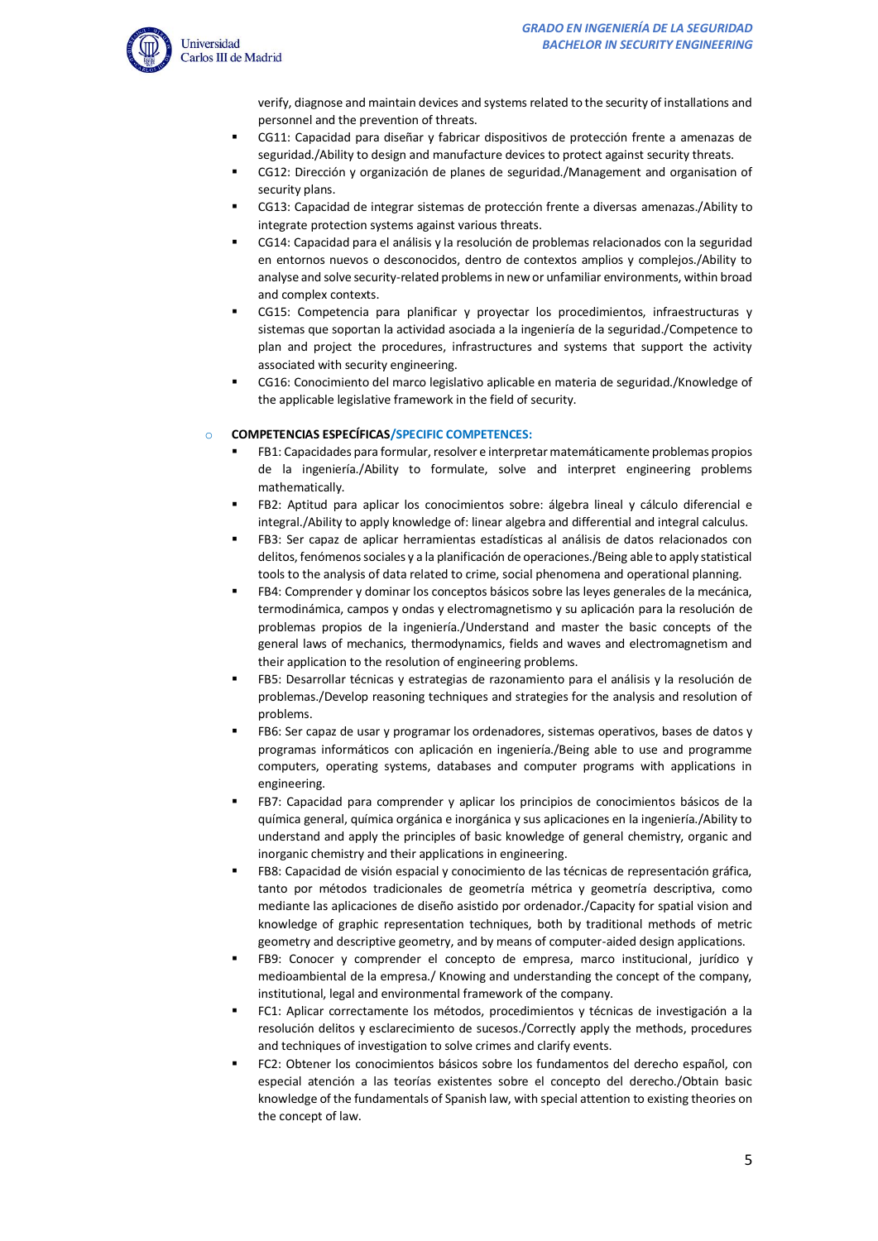verify, diagnose and maintain devices and systems related to the security of installations and personnel and the prevention of threats.

- CG11: Capacidad para diseñar y fabricar dispositivos de protección frente a amenazas de seguridad./Ability to design and manufacture devices to protect against security threats.
- CG12: Dirección y organización de planes de seguridad./Management and organisation of security plans.
- CG13: Capacidad de integrar sistemas de protección frente a diversas amenazas./Ability to integrate protection systems against various threats.
- CG14: Capacidad para el análisis y la resolución de problemas relacionados con la seguridad en entornos nuevos o desconocidos, dentro de contextos amplios y complejos./Ability to analyse and solve security-related problems in new or unfamiliar environments, within broad and complex contexts.
- CG15: Competencia para planificar y proyectar los procedimientos, infraestructuras y sistemas que soportan la actividad asociada a la ingeniería de la seguridad./Competence to plan and project the procedures, infrastructures and systems that support the activity associated with security engineering.
- CG16: Conocimiento del marco legislativo aplicable en materia de seguridad./Knowledge of the applicable legislative framework in the field of security.

# o **COMPETENCIAS ESPECÍFICAS/SPECIFIC COMPETENCES:**

- FB1: Capacidades para formular, resolver e interpretar matemáticamente problemas propios de la ingeniería./Ability to formulate, solve and interpret engineering problems mathematically.
- FB2: Aptitud para aplicar los conocimientos sobre: álgebra lineal y cálculo diferencial e integral./Ability to apply knowledge of: linear algebra and differential and integral calculus.
- FB3: Ser capaz de aplicar herramientas estadísticas al análisis de datos relacionados con delitos, fenómenos sociales y a la planificación de operaciones./Being able to apply statistical tools to the analysis of data related to crime, social phenomena and operational planning.
- FB4: Comprender y dominar los conceptos básicos sobre las leyes generales de la mecánica, termodinámica, campos y ondas y electromagnetismo y su aplicación para la resolución de problemas propios de la ingeniería./Understand and master the basic concepts of the general laws of mechanics, thermodynamics, fields and waves and electromagnetism and their application to the resolution of engineering problems.
- FB5: Desarrollar técnicas y estrategias de razonamiento para el análisis y la resolución de problemas./Develop reasoning techniques and strategies for the analysis and resolution of problems.
- FB6: Ser capaz de usar y programar los ordenadores, sistemas operativos, bases de datos y programas informáticos con aplicación en ingeniería./Being able to use and programme computers, operating systems, databases and computer programs with applications in engineering.
- FB7: Capacidad para comprender y aplicar los principios de conocimientos básicos de la química general, química orgánica e inorgánica y sus aplicaciones en la ingeniería./Ability to understand and apply the principles of basic knowledge of general chemistry, organic and inorganic chemistry and their applications in engineering.
- FB8: Capacidad de visión espacial y conocimiento de las técnicas de representación gráfica, tanto por métodos tradicionales de geometría métrica y geometría descriptiva, como mediante las aplicaciones de diseño asistido por ordenador./Capacity for spatial vision and knowledge of graphic representation techniques, both by traditional methods of metric geometry and descriptive geometry, and by means of computer-aided design applications.
- FB9: Conocer y comprender el concepto de empresa, marco institucional, jurídico y medioambiental de la empresa./ Knowing and understanding the concept of the company, institutional, legal and environmental framework of the company.
- FC1: Aplicar correctamente los métodos, procedimientos y técnicas de investigación a la resolución delitos y esclarecimiento de sucesos./Correctly apply the methods, procedures and techniques of investigation to solve crimes and clarify events.
- FC2: Obtener los conocimientos básicos sobre los fundamentos del derecho español, con especial atención a las teorías existentes sobre el concepto del derecho./Obtain basic knowledge of the fundamentals of Spanish law, with special attention to existing theories on the concept of law.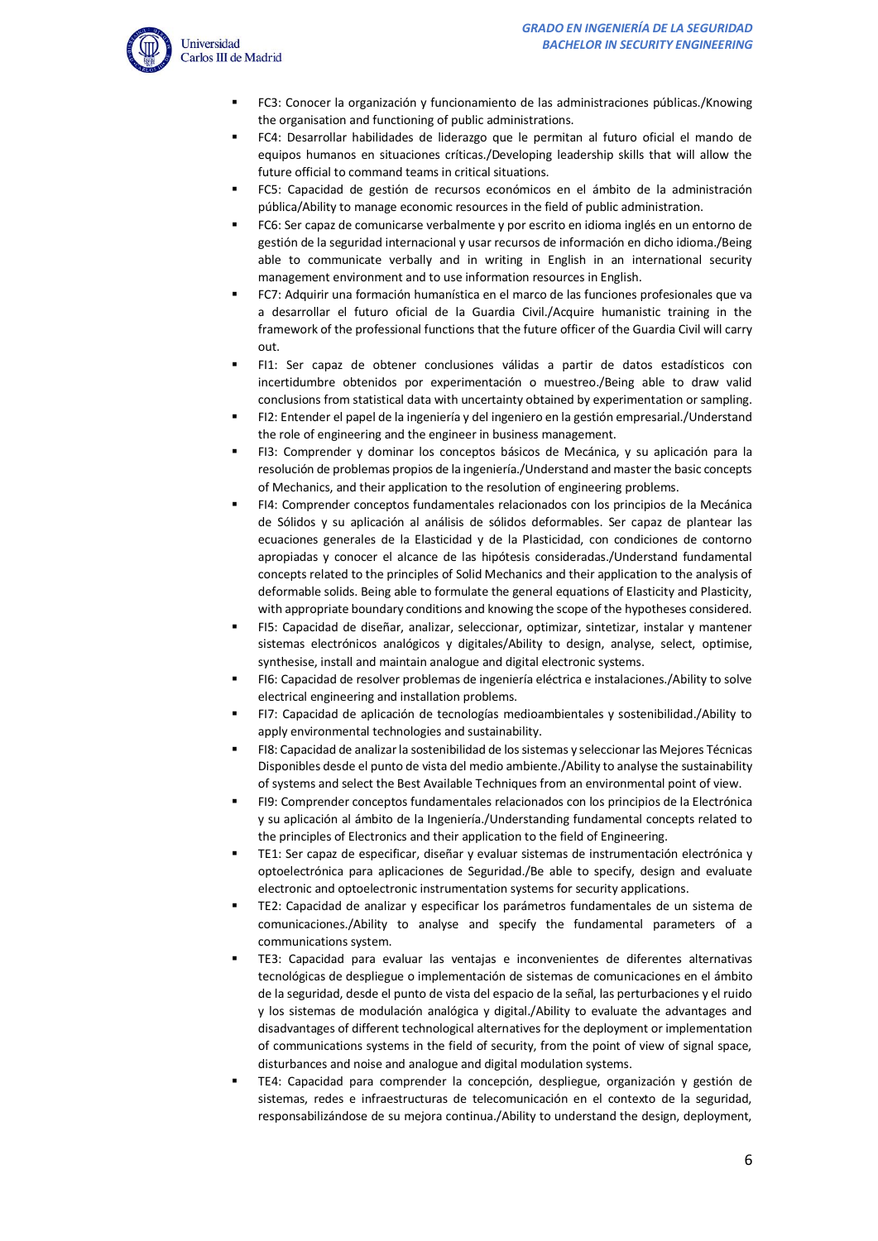

- FC3: Conocer la organización y funcionamiento de las administraciones públicas./Knowing the organisation and functioning of public administrations.
- FC4: Desarrollar habilidades de liderazgo que le permitan al futuro oficial el mando de equipos humanos en situaciones críticas./Developing leadership skills that will allow the future official to command teams in critical situations.
- FC5: Capacidad de gestión de recursos económicos en el ámbito de la administración pública/Ability to manage economic resources in the field of public administration.
- FC6: Ser capaz de comunicarse verbalmente y por escrito en idioma inglés en un entorno de gestión de la seguridad internacional y usar recursos de información en dicho idioma./Being able to communicate verbally and in writing in English in an international security management environment and to use information resources in English.
- FC7: Adquirir una formación humanística en el marco de las funciones profesionales que va a desarrollar el futuro oficial de la Guardia Civil./Acquire humanistic training in the framework of the professional functions that the future officer of the Guardia Civil will carry out.
- FI1: Ser capaz de obtener conclusiones válidas a partir de datos estadísticos con incertidumbre obtenidos por experimentación o muestreo./Being able to draw valid conclusions from statistical data with uncertainty obtained by experimentation or sampling.
- FI2: Entender el papel de la ingeniería y del ingeniero en la gestión empresarial./Understand the role of engineering and the engineer in business management.
- FI3: Comprender y dominar los conceptos básicos de Mecánica, y su aplicación para la resolución de problemas propios de la ingeniería./Understand and master the basic concepts of Mechanics, and their application to the resolution of engineering problems.
- FI4: Comprender conceptos fundamentales relacionados con los principios de la Mecánica de Sólidos y su aplicación al análisis de sólidos deformables. Ser capaz de plantear las ecuaciones generales de la Elasticidad y de la Plasticidad, con condiciones de contorno apropiadas y conocer el alcance de las hipótesis consideradas./Understand fundamental concepts related to the principles of Solid Mechanics and their application to the analysis of deformable solids. Being able to formulate the general equations of Elasticity and Plasticity, with appropriate boundary conditions and knowing the scope of the hypotheses considered.
- FI5: Capacidad de diseñar, analizar, seleccionar, optimizar, sintetizar, instalar y mantener sistemas electrónicos analógicos y digitales/Ability to design, analyse, select, optimise, synthesise, install and maintain analogue and digital electronic systems.
- FI6: Capacidad de resolver problemas de ingeniería eléctrica e instalaciones./Ability to solve electrical engineering and installation problems.
- FI7: Capacidad de aplicación de tecnologías medioambientales y sostenibilidad./Ability to apply environmental technologies and sustainability.
- FI8: Capacidad de analizar la sostenibilidad de los sistemas y seleccionar las Mejores Técnicas Disponibles desde el punto de vista del medio ambiente./Ability to analyse the sustainability of systems and select the Best Available Techniques from an environmental point of view.
- FI9: Comprender conceptos fundamentales relacionados con los principios de la Electrónica y su aplicación al ámbito de la Ingeniería./Understanding fundamental concepts related to the principles of Electronics and their application to the field of Engineering.
- TE1: Ser capaz de especificar, diseñar y evaluar sistemas de instrumentación electrónica y optoelectrónica para aplicaciones de Seguridad./Be able to specify, design and evaluate electronic and optoelectronic instrumentation systems for security applications.
- TE2: Capacidad de analizar y especificar los parámetros fundamentales de un sistema de comunicaciones./Ability to analyse and specify the fundamental parameters of a communications system.
- TE3: Capacidad para evaluar las ventajas e inconvenientes de diferentes alternativas tecnológicas de despliegue o implementación de sistemas de comunicaciones en el ámbito de la seguridad, desde el punto de vista del espacio de la señal, las perturbaciones y el ruido y los sistemas de modulación analógica y digital./Ability to evaluate the advantages and disadvantages of different technological alternatives for the deployment or implementation of communications systems in the field of security, from the point of view of signal space, disturbances and noise and analogue and digital modulation systems.
- TE4: Capacidad para comprender la concepción, despliegue, organización y gestión de sistemas, redes e infraestructuras de telecomunicación en el contexto de la seguridad, responsabilizándose de su mejora continua./Ability to understand the design, deployment,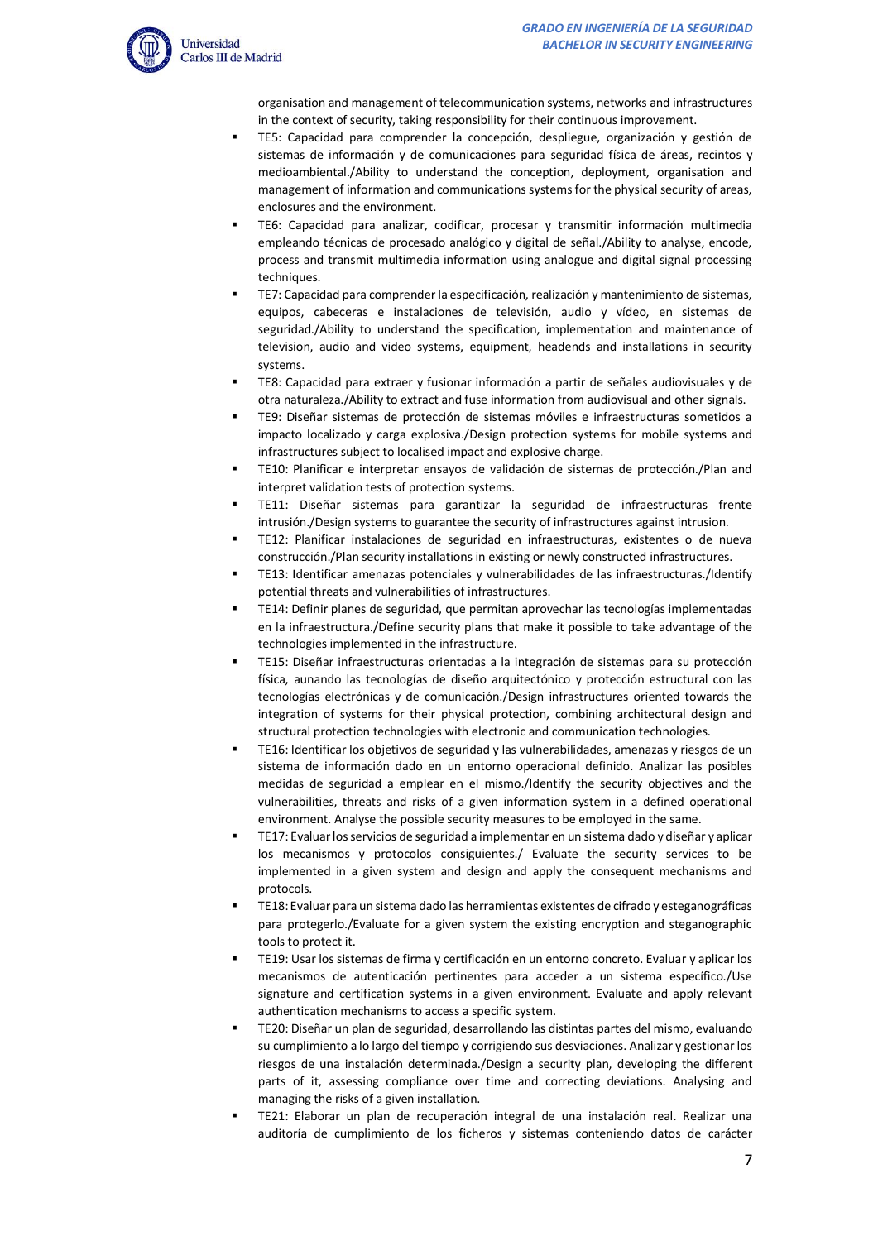

organisation and management of telecommunication systems, networks and infrastructures in the context of security, taking responsibility for their continuous improvement.

- TE5: Capacidad para comprender la concepción, despliegue, organización y gestión de sistemas de información y de comunicaciones para seguridad física de áreas, recintos y medioambiental./Ability to understand the conception, deployment, organisation and management of information and communications systems for the physical security of areas, enclosures and the environment.
- TE6: Capacidad para analizar, codificar, procesar y transmitir información multimedia empleando técnicas de procesado analógico y digital de señal./Ability to analyse, encode, process and transmit multimedia information using analogue and digital signal processing techniques.
- TE7: Capacidad para comprender la especificación, realización y mantenimiento de sistemas, equipos, cabeceras e instalaciones de televisión, audio y vídeo, en sistemas de seguridad./Ability to understand the specification, implementation and maintenance of television, audio and video systems, equipment, headends and installations in security systems.
- TE8: Capacidad para extraer y fusionar información a partir de señales audiovisuales y de otra naturaleza./Ability to extract and fuse information from audiovisual and other signals.
- TE9: Diseñar sistemas de protección de sistemas móviles e infraestructuras sometidos a impacto localizado y carga explosiva./Design protection systems for mobile systems and infrastructures subject to localised impact and explosive charge.
- TE10: Planificar e interpretar ensayos de validación de sistemas de protección./Plan and interpret validation tests of protection systems.
- TE11: Diseñar sistemas para garantizar la seguridad de infraestructuras frente intrusión./Design systems to guarantee the security of infrastructures against intrusion.
- TE12: Planificar instalaciones de seguridad en infraestructuras, existentes o de nueva construcción./Plan security installations in existing or newly constructed infrastructures.
- TE13: Identificar amenazas potenciales y vulnerabilidades de las infraestructuras./Identify potential threats and vulnerabilities of infrastructures.
- TE14: Definir planes de seguridad, que permitan aprovechar las tecnologías implementadas en la infraestructura./Define security plans that make it possible to take advantage of the technologies implemented in the infrastructure.
- TE15: Diseñar infraestructuras orientadas a la integración de sistemas para su protección física, aunando las tecnologías de diseño arquitectónico y protección estructural con las tecnologías electrónicas y de comunicación./Design infrastructures oriented towards the integration of systems for their physical protection, combining architectural design and structural protection technologies with electronic and communication technologies.
- TE16: Identificar los objetivos de seguridad y las vulnerabilidades, amenazas y riesgos de un sistema de información dado en un entorno operacional definido. Analizar las posibles medidas de seguridad a emplear en el mismo./Identify the security objectives and the vulnerabilities, threats and risks of a given information system in a defined operational environment. Analyse the possible security measures to be employed in the same.
- TE17: Evaluar los servicios de seguridad a implementar en un sistema dado y diseñar y aplicar los mecanismos y protocolos consiguientes./ Evaluate the security services to be implemented in a given system and design and apply the consequent mechanisms and protocols.
- TE18: Evaluar para un sistema dado las herramientas existentes de cifrado y esteganográficas para protegerlo./Evaluate for a given system the existing encryption and steganographic tools to protect it.
- TE19: Usar los sistemas de firma y certificación en un entorno concreto. Evaluar y aplicar los mecanismos de autenticación pertinentes para acceder a un sistema específico./Use signature and certification systems in a given environment. Evaluate and apply relevant authentication mechanisms to access a specific system.
- TE20: Diseñar un plan de seguridad, desarrollando las distintas partes del mismo, evaluando su cumplimiento a lo largo del tiempo y corrigiendo sus desviaciones. Analizar y gestionar los riesgos de una instalación determinada./Design a security plan, developing the different parts of it, assessing compliance over time and correcting deviations. Analysing and managing the risks of a given installation.
- TE21: Elaborar un plan de recuperación integral de una instalación real. Realizar una auditoría de cumplimiento de los ficheros y sistemas conteniendo datos de carácter